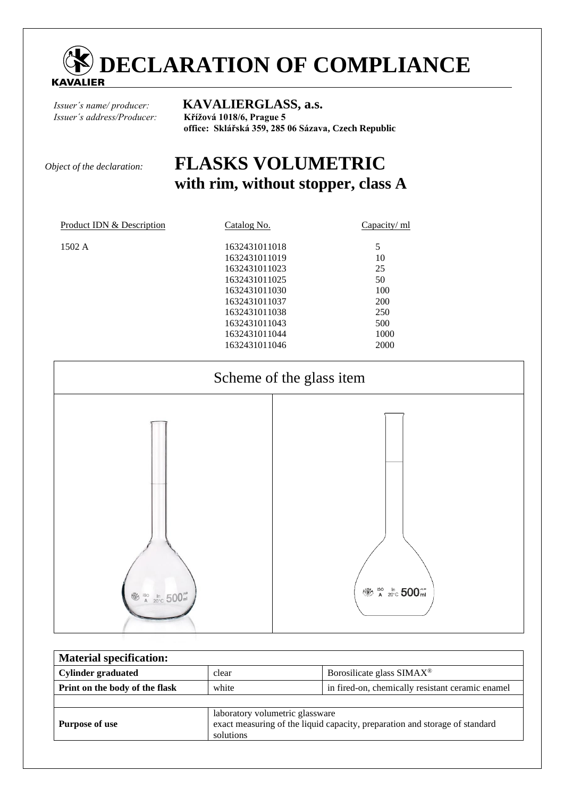

*Issuer´s address/Producer:* **Křížová 1018/6, Prague 5** 

*Issuer´s name/ producer:* **KAVALIERGLASS, a.s. office: Sklářská 359, 285 06 Sázava, Czech Republic** 

# *Object of the declaration:* **FLASKS VOLUMETRIC with rim, without stopper, class A**

| Product IDN & Description | Catalog No.   | Capacity/ ml |
|---------------------------|---------------|--------------|
| 1502 A                    | 1632431011018 | 5            |
|                           | 1632431011019 | 10           |
|                           | 1632431011023 | 25           |
|                           | 1632431011025 | 50           |
|                           | 1632431011030 | 100          |
|                           | 1632431011037 | 200          |
|                           | 1632431011038 | 250          |
|                           | 1632431011043 | 500          |
|                           | 1632431011044 | 1000         |
|                           | 1632431011046 | 2000         |
|                           |               |              |



| <b>Material specification:</b> |                                                                                                                             |                                                  |  |  |  |
|--------------------------------|-----------------------------------------------------------------------------------------------------------------------------|--------------------------------------------------|--|--|--|
| <b>Cylinder graduated</b>      | clear                                                                                                                       | Borosilicate glass SIMAX <sup>®</sup>            |  |  |  |
| Print on the body of the flask | white                                                                                                                       | in fired-on, chemically resistant ceramic enamel |  |  |  |
|                                |                                                                                                                             |                                                  |  |  |  |
| Purpose of use                 | laboratory volumetric glassware<br>exact measuring of the liquid capacity, preparation and storage of standard<br>solutions |                                                  |  |  |  |